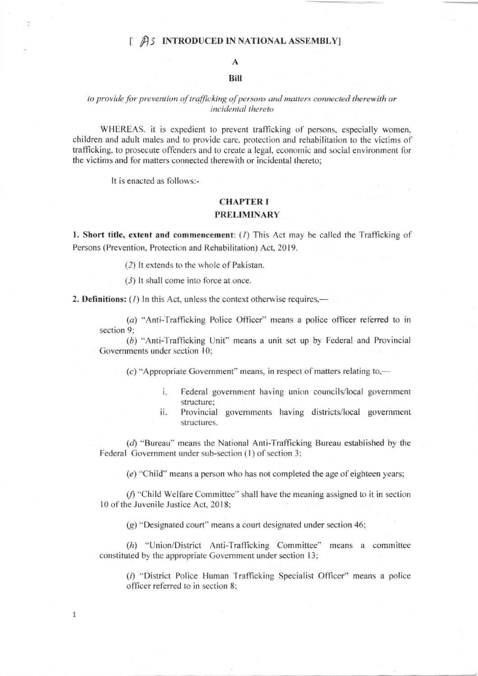# [  $\hat{A}$ S INTRODUCED IN NATIONAL ASSEMBLY]

# A

# BiI

#### to provide for prevention of trafficking of persons and matters connected therewith or incidental thereto

WHEREAS. it is expedient to prevent trafficking of persons, especially women, children and adult males and to provide care, protection and rehabilitation to the victims of trafficking. to prosecute offenders and to create a legal, economic and social environment for the victims and for matters connected therewith or incidental thereto;

It is enacted as follows:-

1

# **CHAPTER I** PRELIMINARY

1. Short title, extent and commencement:  $(I)$  This Act may be called the Trafficking of Persons (Prevention, Protection and Rehabilitation) Act, 2019.

(2) lt extends to the whole of Pakistan.

(3) It shall come into force at once.

2. Definitions:  $(1)$  In this Act, unless the context otherwise requires,—

(a) "Anti-Traflicking Police Officer" means a police officer referred to in section 9;

(b) "Anti-Trafficking Unit" means a unit set up by Federal and Provincial Governments under section 10;

 $(c)$  "Appropriate Government" means, in respect of matters relating to,—

- i. Federal government having union councils/local government structure;
- ii. Provincial governments having districts/local govemment structures.

(d) "Bureau" means the National Anti-Trafficking Bureau established by the Federal Government under sub-section (1) of section 3;

 $(e)$  "Child" means a person who has not completed the age of eighteen years;

 $(f)$  "Child Welfare Committee" shall have the meaning assigned to it in section 10 of the Juvenile Justice Act, 2018;

(g) "Designated court" means a court designated under section 46:

(h) "Union/District Anti-Trafficking Committee" means a committee constituted by the appropriate Government under section l3;

 $(i)$  "District Police Human Trafficking Specialist Officer" means a police officer referred to in section 8;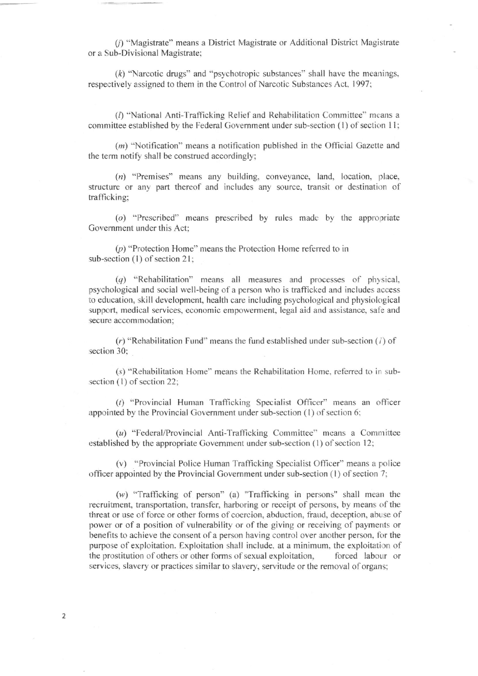f) "Magistrate" means a District Magistrate or Additional District Magistrate or a Sub-Divisional Magistrate;

 $(k)$  "Narcotic drugs" and "psychotropic substances" shall have the meanings, respectively assigned to them in the Control of Narcotic Substances Act, 1997;

 $(I)$  "National Anti-Trafficking Relief and Rehabilitation Committee" means a committee established by the Federal Government under sub-section (1) of section 11;

(m) "Notification" means a notification published in the Official Gazette and the term notify shall be construed accordingly;

(n) "Premises" means any building, conveyance, land, location, place, structure or any part thereof and includes any source, transit or destination of trafficking;

 $(a)$  "Prescribed" means prescribed by rules made by the appropriate Government under this Act:

(p) "Protection Home" means the Protection Home refered to in sub-section (1) of section 21;

(q) "Rehabilitation" means all measures and processes of physical, psychological and social well-being of a person who is trafficked and includes access to education, skill development, health care including psychological and physiological support, medical services, economic empowerment, legal aid and assistance, safe and secure accommodation;

 $(r)$  "Rehabilitation Fund" means the fund established under sub-section (1) of section 30;

(s) "Rehabilitation Home" means the Rehabilitation Home, referred to in subsection  $(1)$  of section 22;

(t) "Provincial Human Trafficking Specialist Officer" means an officer appointed by the Provincial Government under sub-section  $(1)$  of section 6;

 $(u)$  "Federal/Provincial Anti-Trafficking Committee" means a Committee established by the appropriate Government under sub-section (1) of section 12;

(v) "Provincial Police Human Trafficking Specialist Officer" means a police officer appointed by the Provincial Government under sub-section  $(1)$  of section  $(7)$ ;

 $(w)$  "Trafficking of person" (a) "Trafficking in persons" shall mean the recruitment, transportation, transfer, harboring or receipt of persons, by means of the fhreat or use of force or other forms of coercion. abduction, fraud, deception, abu se of power or of a position of vulnerability or of the giving or receiving of payments or benefits to achieve the consent of a person having control over another person, for the purpose of exploitation. Exploitation shall include, at a minimum, the exploitation of the prostitution of others or other forms of sexual exploitation, forced labour or services, slavery or practices similar to slavery, servitude or the removal of organs;